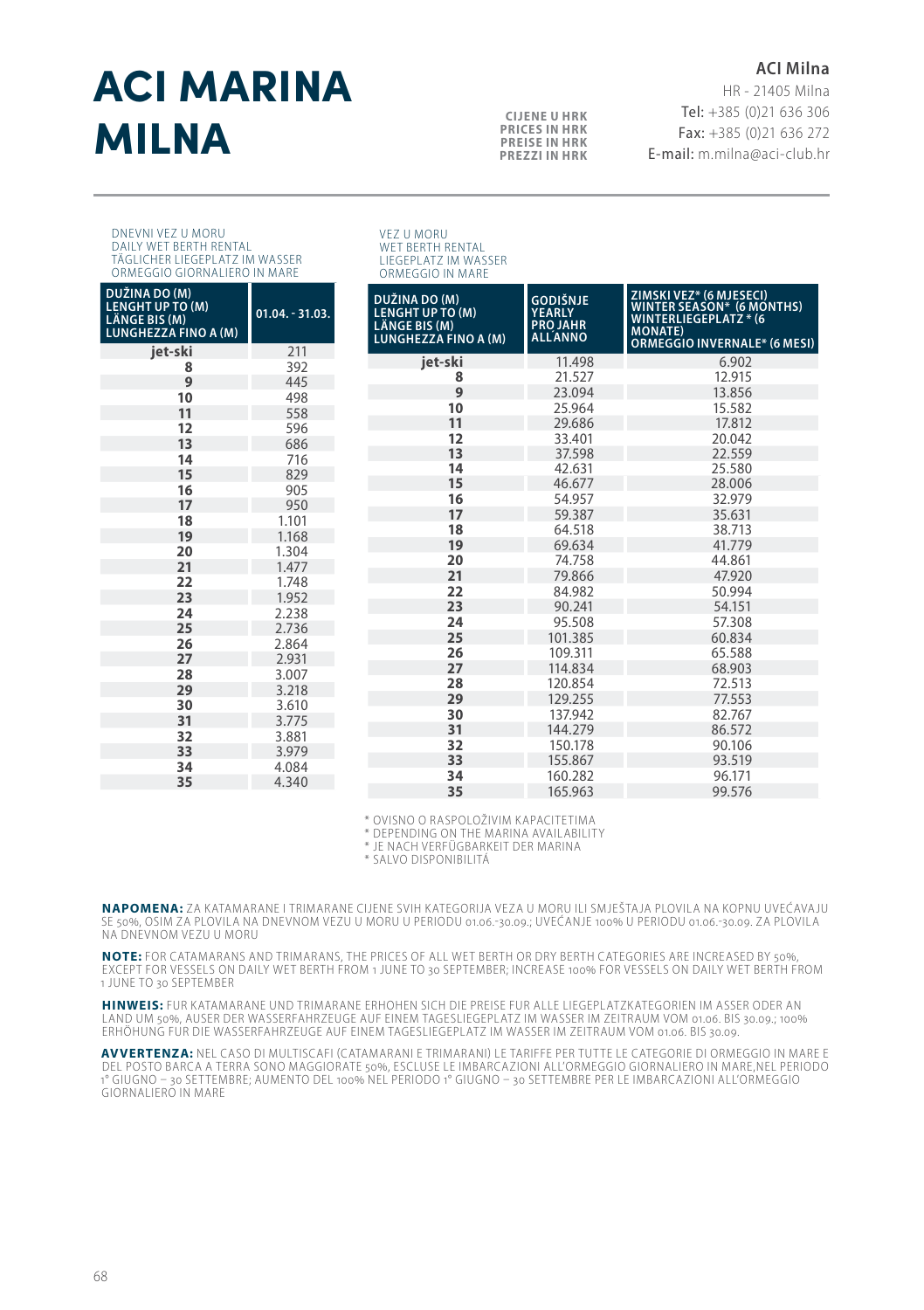# ACI MARINA **MILNA CUENE U HRK**<br>PRECESINHRK

## **ACI Milna**

HR - 21405 Milna Tel: +385 (0)21 636 306 Fax: +385 (0)21 636 272 E-mail: m.milna@aci-club.hr

#### DNEVNI VEZ U MORU DAILY WET BERTH RENTAL TÄGLICHER LIEGEPLATZ IM WASSER ORMEGGIO GIORNALIERO IN MARE

| DUŽINA DO (M)<br><b>LENGHT UP TO (M)</b><br>LÄNGE BIS (M)<br>LUNGHEZZA FINO A (M) | $01.04. - 31.03.$ |
|-----------------------------------------------------------------------------------|-------------------|
| iet-ski                                                                           | 211               |
| 8                                                                                 | 392               |
| 9                                                                                 | 445               |
| 10                                                                                | 498               |
| 11                                                                                | 558               |
| 12                                                                                | 596               |
| 13                                                                                | 686               |
| 14                                                                                | 716               |
| 15                                                                                | 829               |
| 16                                                                                | 905               |
| 17                                                                                | 950               |
| 18                                                                                | 1.101             |
| 19                                                                                | 1.168             |
| 20                                                                                | 1.304             |
| 21                                                                                | 1.477             |
| 22                                                                                | 1.748             |
| 23                                                                                | 1.952             |
| 24                                                                                | 2.238             |
| 25                                                                                | 2.736             |
| 26                                                                                | 2.864             |
| 27                                                                                | 2.931             |
| 28                                                                                | 3.007             |
| 29                                                                                | 3.218             |
| 30                                                                                | 3.610             |
| 31                                                                                | 3.775             |
| 32                                                                                | 3.881             |
| 33                                                                                | 3.979             |
| 34                                                                                | 4.084             |
| 35                                                                                | 4340              |

VEZ U MORU WET BERTH RENTAL LIEGEPLATZ IM WASSER ORMEGGIO IN MARE

**PRICES IN HRK PREISE IN HRK PREZZI IN HRK**

| DUŽINA DO (M)<br><b>LENGHT UP TO (M)</b><br>LÄNGE BIS (M)<br><b>LUNGHEZZA FINO A (M)</b> | <b>GODIŠNJE</b><br><b>YEARLY</b><br><b>PROJAHR</b><br>ALLANNO | ZIMSKI VEZ* (6 MJESECI)<br>WINTER SEASON* (6 MONTHS)<br>WINTER SEASON* (6 MONTHS)<br><b>MONATE</b> )<br>ORMEGGIO INVERNALE* (6 MESI) |  |  |
|------------------------------------------------------------------------------------------|---------------------------------------------------------------|--------------------------------------------------------------------------------------------------------------------------------------|--|--|
| jet-ski                                                                                  | 11.498                                                        | 6.902                                                                                                                                |  |  |
| 8                                                                                        | 21.527                                                        | 12.915                                                                                                                               |  |  |
| 9                                                                                        | 23.094                                                        | 13.856                                                                                                                               |  |  |
| 10                                                                                       | 25.964                                                        | 15.582                                                                                                                               |  |  |
| 11                                                                                       | 29.686                                                        | 17.812                                                                                                                               |  |  |
| 12                                                                                       | 33.401                                                        | 20.042                                                                                                                               |  |  |
| 13                                                                                       | 37.598                                                        | 22.559                                                                                                                               |  |  |
| 14                                                                                       | 42.631                                                        | 25.580                                                                                                                               |  |  |
| 15                                                                                       | 46.677                                                        | 28.006                                                                                                                               |  |  |
| 16                                                                                       | 54.957                                                        | 32.979                                                                                                                               |  |  |
| 17                                                                                       | 59.387                                                        | 35.631                                                                                                                               |  |  |
| 18                                                                                       | 64.518                                                        | 38.713                                                                                                                               |  |  |
| 19                                                                                       | 69.634                                                        | 41.779                                                                                                                               |  |  |
| 20                                                                                       | 74.758                                                        | 44.861                                                                                                                               |  |  |
| 21                                                                                       | 79.866                                                        | 47.920                                                                                                                               |  |  |
| 22                                                                                       | 84.982                                                        | 50.994                                                                                                                               |  |  |
| 23                                                                                       | 90.241                                                        | 54.151                                                                                                                               |  |  |
| 24                                                                                       | 95.508                                                        | 57.308                                                                                                                               |  |  |
| 25                                                                                       | 101.385                                                       | 60.834                                                                                                                               |  |  |
| 26                                                                                       | 109.311                                                       | 65.588                                                                                                                               |  |  |
| 27                                                                                       | 114.834                                                       | 68.903                                                                                                                               |  |  |
| 28                                                                                       | 120.854                                                       | 72.513                                                                                                                               |  |  |
| 29                                                                                       | 129.255                                                       | 77.553                                                                                                                               |  |  |
| 30                                                                                       | 137.942                                                       | 82.767                                                                                                                               |  |  |
| 31                                                                                       | 144.279                                                       | 86.572                                                                                                                               |  |  |
| 32                                                                                       | 150.178                                                       | 90.106                                                                                                                               |  |  |
| 33                                                                                       | 155.867                                                       | 93.519                                                                                                                               |  |  |
| 34                                                                                       | 160.282                                                       | 96.171                                                                                                                               |  |  |
| 35                                                                                       | 165.963                                                       | 99.576                                                                                                                               |  |  |

\* OVISNO O RASPOLOŽIVIM KAPACITETIMA

\* DEPENDING ON THE MARINA AVAILABILITY

\* JE NACH VERFÜGBARKEIT DER MARINA

\* SALVO DISPONIBILITÁ

**NAPOMENA:** ZA KATAMARANE I TRIMARANE CIJENE SVIH KATEGORIJA VEZA U MORU ILI SMJEŠTAJA PLOVILA NA KOPNU UVEĆAVAJU SE 50%, OSIM ZA PLOVILA NA DNEVNOM VEZU U MORU U PERIODU 01.06.-30.09.; UVEĆANJE 100% U PERIODU 01.06.-30.09. ZA PLOVILA NA DNEVNOM VEZU U MORU

**NOTE:** FOR CATAMARANS AND TRIMARANS, THE PRICES OF ALL WET BERTH OR DRY BERTH CATEGORIES ARE INCREASED BY 50%, EXCEPT FOR VESSELS ON DAILY WET BERTH FROM 1 JUNE TO 30 SEPTEMBER; INCREASE 100% FOR VESSELS ON DAILY WET BERTH FROM 1 JUNE TO 30 SEPTEMBER

HINWEIS: FUR KATAMARANE UND TRIMARANE ERHOHEN SICH DIE PREISE FUR ALLE LIEGEPLATZKATEGORIEN IM ASSER ODER AN<br>LAND UM 50%, AUSER DER WASSERFAHRZEUGE AUF EINEM TAGESLIEGEPLATZ IM WASSER IM ZEITRAUM VOM 01.06. BIS 30.00.:100% ERHÖHUNG FUR DIE WASSERFAHRZEUGE AUF EINEM TAGESLIEGEPLATZ IM WASSER IM ZEITRAUM VOM 01.06. BIS 30.09.

**AVVERTENZA:** NEL CASO DI MULTISCAFI (CATAMARANI E TRIMARANI) LE TARIFFE PER TUT TE LE CATEGORIE DI ORMEGGIO IN MARE E DEL POSTO BARCA A TERRA SONO MAGGIORATE 50%, ESCLUSE LE IMBARCAZIONI ALL'ORMEGGIO GIORNALIERO IN MARE,NEL PERIODO<br>1º GIUGNO – 30 SETTEMBRE; AUMENTO DEL 100% NEL PERIODO 1º GIUGNO – 30 SETTEMBRE PER LE IMBARCAZIONI ALL'ORME GIORNALIERO IN MARE